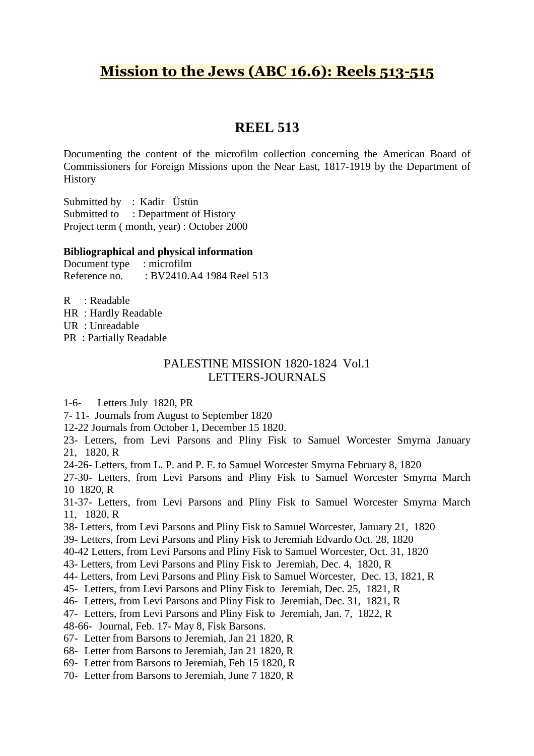# **Mission to the Jews (ABC 16.6): Reels 513-515**

## **REEL 513**

Documenting the content of the microfilm collection concerning the American Board of Commissioners for Foreign Missions upon the Near East, 1817-1919 by the Department of **History** 

Submitted by : Kadir Üstün Submitted to : Department of History Project term ( month, year) : October 2000

### **Bibliographical and physical information**

Document type : microfilm Reference no. : BV2410.A4 1984 Reel 513

R : Readable

HR : Hardly Readable

UR : Unreadable

PR : Partially Readable

### PALESTINE MISSION 1820-1824 Vol.1 LETTERS-JOURNALS

1-6- Letters July 1820, PR

7- 11- Journals from August to September 1820

12-22 Journals from October 1, December 15 1820.

23- Letters, from Levi Parsons and Pliny Fisk to Samuel Worcester Smyrna January 21, 1820, R

24-26- Letters, from L. P. and P. F. to Samuel Worcester Smyrna February 8, 1820

27-30- Letters, from Levi Parsons and Pliny Fisk to Samuel Worcester Smyrna March 10 1820, R

31-37- Letters, from Levi Parsons and Pliny Fisk to Samuel Worcester Smyrna March 11, 1820, R

38- Letters, from Levi Parsons and Pliny Fisk to Samuel Worcester, January 21, 1820

39- Letters, from Levi Parsons and Pliny Fisk to Jeremiah Edvardo Oct. 28, 1820

40-42 Letters, from Levi Parsons and Pliny Fisk to Samuel Worcester, Oct. 31, 1820

43- Letters, from Levi Parsons and Pliny Fisk to Jeremiah, Dec. 4, 1820, R

44- Letters, from Levi Parsons and Pliny Fisk to Samuel Worcester, Dec. 13, 1821, R

45- Letters, from Levi Parsons and Pliny Fisk to Jeremiah, Dec. 25, 1821, R

46- Letters, from Levi Parsons and Pliny Fisk to Jeremiah, Dec. 31, 1821, R

47- Letters, from Levi Parsons and Pliny Fisk to Jeremiah, Jan. 7, 1822, R

48-66- Journal, Feb. 17- May 8, Fisk Barsons.

67- Letter from Barsons to Jeremiah, Jan 21 1820, R

68- Letter from Barsons to Jeremiah, Jan 21 1820, R

69- Letter from Barsons to Jeremiah, Feb 15 1820, R

70- Letter from Barsons to Jeremiah, June 7 1820, R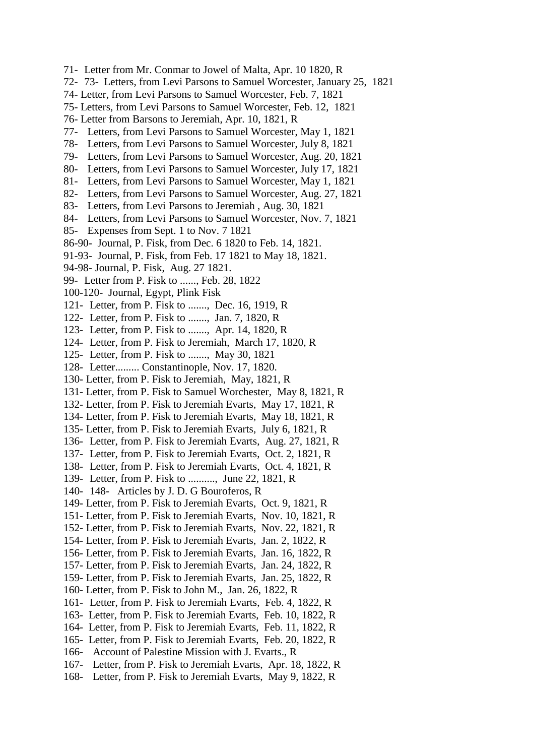- 71- Letter from Mr. Conmar to Jowel of Malta, Apr. 10 1820, R
- 72- 73- Letters, from Levi Parsons to Samuel Worcester, January 25, 1821
- 74- Letter, from Levi Parsons to Samuel Worcester, Feb. 7, 1821
- 75- Letters, from Levi Parsons to Samuel Worcester, Feb. 12, 1821
- 76- Letter from Barsons to Jeremiah, Apr. 10, 1821, R
- 77- Letters, from Levi Parsons to Samuel Worcester, May 1, 1821
- 78- Letters, from Levi Parsons to Samuel Worcester, July 8, 1821
- 79- Letters, from Levi Parsons to Samuel Worcester, Aug. 20, 1821
- 80- Letters, from Levi Parsons to Samuel Worcester, July 17, 1821
- 81- Letters, from Levi Parsons to Samuel Worcester, May 1, 1821
- 82- Letters, from Levi Parsons to Samuel Worcester, Aug. 27, 1821
- 83- Letters, from Levi Parsons to Jeremiah , Aug. 30, 1821
- 84- Letters, from Levi Parsons to Samuel Worcester, Nov. 7, 1821
- 85- Expenses from Sept. 1 to Nov. 7 1821
- 86-90- Journal, P. Fisk, from Dec. 6 1820 to Feb. 14, 1821.
- 91-93- Journal, P. Fisk, from Feb. 17 1821 to May 18, 1821.
- 94-98- Journal, P. Fisk, Aug. 27 1821.
- 99- Letter from P. Fisk to ......, Feb. 28, 1822
- 100-120- Journal, Egypt, Plink Fisk
- 121- Letter, from P. Fisk to ......., Dec. 16, 1919, R
- 122- Letter, from P. Fisk to ......., Jan. 7, 1820, R
- 123- Letter, from P. Fisk to ......., Apr. 14, 1820, R
- 124- Letter, from P. Fisk to Jeremiah, March 17, 1820, R
- 125- Letter, from P. Fisk to ......., May 30, 1821
- 128- Letter......... Constantinople, Nov. 17, 1820.
- 130- Letter, from P. Fisk to Jeremiah, May, 1821, R
- 131- Letter, from P. Fisk to Samuel Worchester, May 8, 1821, R
- 132- Letter, from P. Fisk to Jeremiah Evarts, May 17, 1821, R
- 134- Letter, from P. Fisk to Jeremiah Evarts, May 18, 1821, R
- 135- Letter, from P. Fisk to Jeremiah Evarts, July 6, 1821, R
- 136- Letter, from P. Fisk to Jeremiah Evarts, Aug. 27, 1821, R
- 137- Letter, from P. Fisk to Jeremiah Evarts, Oct. 2, 1821, R
- 138- Letter, from P. Fisk to Jeremiah Evarts, Oct. 4, 1821, R
- 139- Letter, from P. Fisk to .........., June 22, 1821, R
- 140- 148- Articles by J. D. G Bouroferos, R
- 149- Letter, from P. Fisk to Jeremiah Evarts, Oct. 9, 1821, R
- 151- Letter, from P. Fisk to Jeremiah Evarts, Nov. 10, 1821, R
- 152- Letter, from P. Fisk to Jeremiah Evarts, Nov. 22, 1821, R
- 154- Letter, from P. Fisk to Jeremiah Evarts, Jan. 2, 1822, R
- 156- Letter, from P. Fisk to Jeremiah Evarts, Jan. 16, 1822, R
- 157- Letter, from P. Fisk to Jeremiah Evarts, Jan. 24, 1822, R
- 159- Letter, from P. Fisk to Jeremiah Evarts, Jan. 25, 1822, R
- 160- Letter, from P. Fisk to John M., Jan. 26, 1822, R
- 161- Letter, from P. Fisk to Jeremiah Evarts, Feb. 4, 1822, R
- 163- Letter, from P. Fisk to Jeremiah Evarts, Feb. 10, 1822, R
- 164- Letter, from P. Fisk to Jeremiah Evarts, Feb. 11, 1822, R
- 165- Letter, from P. Fisk to Jeremiah Evarts, Feb. 20, 1822, R
- 166- Account of Palestine Mission with J. Evarts., R
- 167- Letter, from P. Fisk to Jeremiah Evarts, Apr. 18, 1822, R
- 168- Letter, from P. Fisk to Jeremiah Evarts, May 9, 1822, R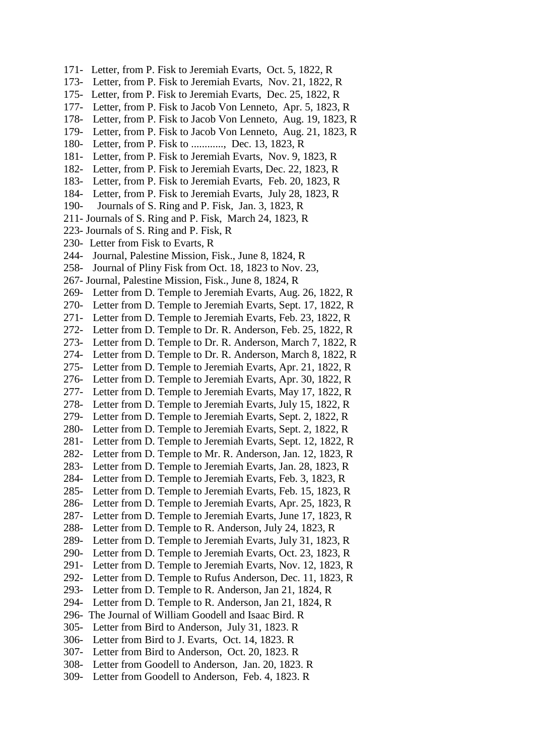- 171- Letter, from P. Fisk to Jeremiah Evarts, Oct. 5, 1822, R
- 173- Letter, from P. Fisk to Jeremiah Evarts, Nov. 21, 1822, R
- 175- Letter, from P. Fisk to Jeremiah Evarts, Dec. 25, 1822, R
- 177- Letter, from P. Fisk to Jacob Von Lenneto, Apr. 5, 1823, R
- 178- Letter, from P. Fisk to Jacob Von Lenneto, Aug. 19, 1823, R
- 179- Letter, from P. Fisk to Jacob Von Lenneto, Aug. 21, 1823, R
- 180- Letter, from P. Fisk to ............, Dec. 13, 1823, R
- 181- Letter, from P. Fisk to Jeremiah Evarts, Nov. 9, 1823, R
- 182- Letter, from P. Fisk to Jeremiah Evarts, Dec. 22, 1823, R
- 183- Letter, from P. Fisk to Jeremiah Evarts, Feb. 20, 1823, R
- 184- Letter, from P. Fisk to Jeremiah Evarts, July 28, 1823, R
- 190- Journals of S. Ring and P. Fisk, Jan. 3, 1823, R
- 211- Journals of S. Ring and P. Fisk, March 24, 1823, R
- 223- Journals of S. Ring and P. Fisk, R
- 230- Letter from Fisk to Evarts, R
- 244- Journal, Palestine Mission, Fisk., June 8, 1824, R
- 258- Journal of Pliny Fisk from Oct. 18, 1823 to Nov. 23,
- 267- Journal, Palestine Mission, Fisk., June 8, 1824, R
- 269- Letter from D. Temple to Jeremiah Evarts, Aug. 26, 1822, R
- 270- Letter from D. Temple to Jeremiah Evarts, Sept. 17, 1822, R
- 271- Letter from D. Temple to Jeremiah Evarts, Feb. 23, 1822, R
- 272- Letter from D. Temple to Dr. R. Anderson, Feb. 25, 1822, R
- 273- Letter from D. Temple to Dr. R. Anderson, March 7, 1822, R
- 274- Letter from D. Temple to Dr. R. Anderson, March 8, 1822, R
- 275- Letter from D. Temple to Jeremiah Evarts, Apr. 21, 1822, R
- 276- Letter from D. Temple to Jeremiah Evarts, Apr. 30, 1822, R
- 277- Letter from D. Temple to Jeremiah Evarts, May 17, 1822, R 278- Letter from D. Temple to Jeremiah Evarts, July 15, 1822, R
- 279- Letter from D. Temple to Jeremiah Evarts, Sept. 2, 1822, R
- 280- Letter from D. Temple to Jeremiah Evarts, Sept. 2, 1822, R
- 281- Letter from D. Temple to Jeremiah Evarts, Sept. 12, 1822, R
- 282- Letter from D. Temple to Mr. R. Anderson, Jan. 12, 1823, R
- 283- Letter from D. Temple to Jeremiah Evarts, Jan. 28, 1823, R
- 284- Letter from D. Temple to Jeremiah Evarts, Feb. 3, 1823, R
- 285- Letter from D. Temple to Jeremiah Evarts, Feb. 15, 1823, R
- 286- Letter from D. Temple to Jeremiah Evarts, Apr. 25, 1823, R
- 287- Letter from D. Temple to Jeremiah Evarts, June 17, 1823, R
- 288- Letter from D. Temple to R. Anderson, July 24, 1823, R
- 289- Letter from D. Temple to Jeremiah Evarts, July 31, 1823, R
- 290- Letter from D. Temple to Jeremiah Evarts, Oct. 23, 1823, R
- 291- Letter from D. Temple to Jeremiah Evarts, Nov. 12, 1823, R
- 292- Letter from D. Temple to Rufus Anderson, Dec. 11, 1823, R
- 293- Letter from D. Temple to R. Anderson, Jan 21, 1824, R
- 294- Letter from D. Temple to R. Anderson, Jan 21, 1824, R
- 296- The Journal of William Goodell and Isaac Bird. R
- 305- Letter from Bird to Anderson, July 31, 1823. R
- 306- Letter from Bird to J. Evarts, Oct. 14, 1823. R
- 307- Letter from Bird to Anderson, Oct. 20, 1823. R
- 308- Letter from Goodell to Anderson, Jan. 20, 1823. R
- 309- Letter from Goodell to Anderson, Feb. 4, 1823. R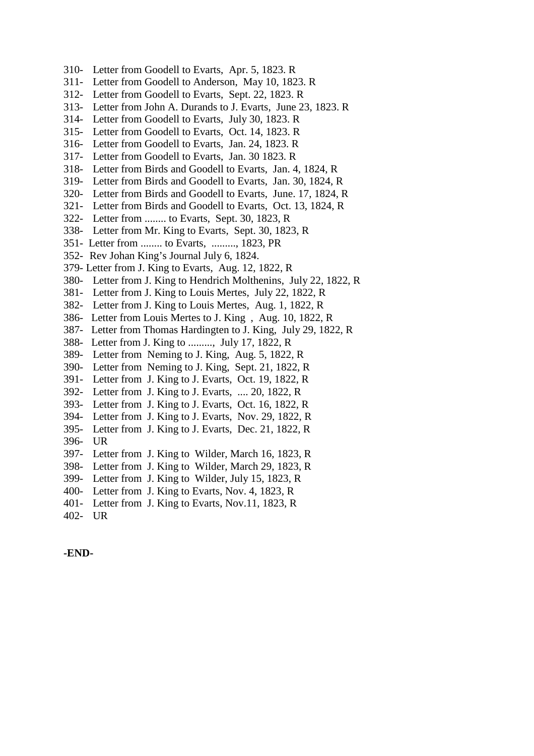- 310- Letter from Goodell to Evarts, Apr. 5, 1823. R
- 311- Letter from Goodell to Anderson, May 10, 1823. R
- 312- Letter from Goodell to Evarts, Sept. 22, 1823. R
- 313- Letter from John A. Durands to J. Evarts, June 23, 1823. R
- 314- Letter from Goodell to Evarts, July 30, 1823. R
- 315- Letter from Goodell to Evarts, Oct. 14, 1823. R
- 316- Letter from Goodell to Evarts, Jan. 24, 1823. R
- 317- Letter from Goodell to Evarts, Jan. 30 1823. R
- 318- Letter from Birds and Goodell to Evarts, Jan. 4, 1824, R
- 319- Letter from Birds and Goodell to Evarts, Jan. 30, 1824, R
- 320- Letter from Birds and Goodell to Evarts, June. 17, 1824, R
- 321- Letter from Birds and Goodell to Evarts, Oct. 13, 1824, R
- 322- Letter from ........ to Evarts, Sept. 30, 1823, R
- 338- Letter from Mr. King to Evarts, Sept. 30, 1823, R
- 351- Letter from ........ to Evarts, ........., 1823, PR
- 352- Rev Johan King's Journal July 6, 1824.
- 379- Letter from J. King to Evarts, Aug. 12, 1822, R
- 380- Letter from J. King to Hendrich Molthenins, July 22, 1822, R
- 381- Letter from J. King to Louis Mertes, July 22, 1822, R
- 382- Letter from J. King to Louis Mertes, Aug. 1, 1822, R
- 386- Letter from Louis Mertes to J. King , Aug. 10, 1822, R
- 387- Letter from Thomas Hardingten to J. King, July 29, 1822, R
- 388- Letter from J. King to ........., July 17, 1822, R
- 389- Letter from Neming to J. King, Aug. 5, 1822, R
- 390- Letter from Neming to J. King, Sept. 21, 1822, R
- 391- Letter from J. King to J. Evarts, Oct. 19, 1822, R
- 392- Letter from J. King to J. Evarts, .... 20, 1822, R
- 393- Letter from J. King to J. Evarts, Oct. 16, 1822, R
- 394- Letter from J. King to J. Evarts, Nov. 29, 1822, R
- 395- Letter from J. King to J. Evarts, Dec. 21, 1822, R
- 396- UR
- 397- Letter from J. King to Wilder, March 16, 1823, R
- 398- Letter from J. King to Wilder, March 29, 1823, R
- 399- Letter from J. King to Wilder, July 15, 1823, R
- 400- Letter from J. King to Evarts, Nov. 4, 1823, R
- 401- Letter from J. King to Evarts, Nov.11, 1823, R
- 402- UR

**-END-**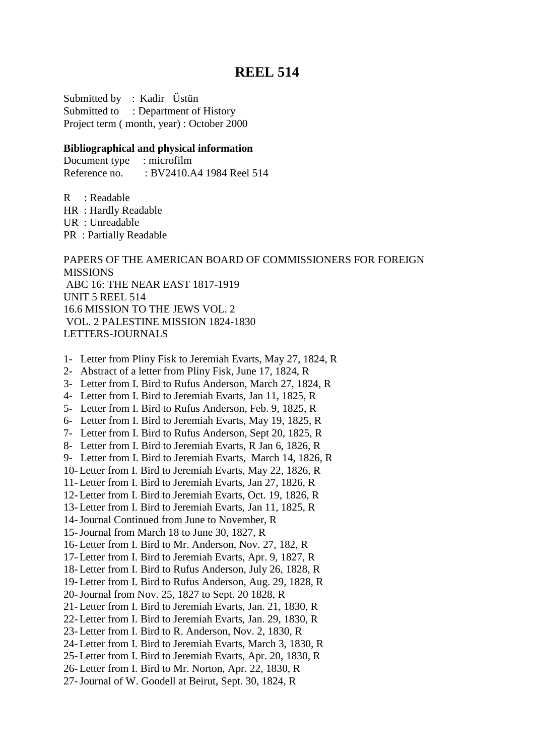### **REEL 514**

Submitted by : Kadir Üstün Submitted to : Department of History Project term ( month, year) : October 2000

#### **Bibliographical and physical information**

Document type : microfilm Reference no. : BV2410.A4 1984 Reel 514

R : Readable

HR : Hardly Readable

UR : Unreadable

PR : Partially Readable

PAPERS OF THE AMERICAN BOARD OF COMMISSIONERS FOR FOREIGN MISSIONS ABC 16: THE NEAR EAST 1817-1919 UNIT 5 REEL 514 16.6 MISSION TO THE JEWS VOL. 2 VOL. 2 PALESTINE MISSION 1824-1830 LETTERS-JOURNALS

- 1- Letter from Pliny Fisk to Jeremiah Evarts, May 27, 1824, R
- 2- Abstract of a letter from Pliny Fisk, June 17, 1824, R
- 3- Letter from I. Bird to Rufus Anderson, March 27, 1824, R
- 4- Letter from I. Bird to Jeremiah Evarts, Jan 11, 1825, R
- 5- Letter from I. Bird to Rufus Anderson, Feb. 9, 1825, R
- 6- Letter from I. Bird to Jeremiah Evarts, May 19, 1825, R
- 7- Letter from I. Bird to Rufus Anderson, Sept 20, 1825, R
- 8- Letter from I. Bird to Jeremiah Evarts, R Jan 6, 1826, R
- 9- Letter from I. Bird to Jeremiah Evarts, March 14, 1826, R
- 10- Letter from I. Bird to Jeremiah Evarts, May 22, 1826, R
- 11- Letter from I. Bird to Jeremiah Evarts, Jan 27, 1826, R
- 12- Letter from I. Bird to Jeremiah Evarts, Oct. 19, 1826, R
- 13- Letter from I. Bird to Jeremiah Evarts, Jan 11, 1825, R
- 14-Journal Continued from June to November, R
- 15-Journal from March 18 to June 30, 1827, R
- 16- Letter from I. Bird to Mr. Anderson, Nov. 27, 182, R
- 17- Letter from I. Bird to Jeremiah Evarts, Apr. 9, 1827, R
- 18- Letter from I. Bird to Rufus Anderson, July 26, 1828, R
- 19- Letter from I. Bird to Rufus Anderson, Aug. 29, 1828, R
- 20-Journal from Nov. 25, 1827 to Sept. 20 1828, R
- 21- Letter from I. Bird to Jeremiah Evarts, Jan. 21, 1830, R
- 22- Letter from I. Bird to Jeremiah Evarts, Jan. 29, 1830, R
- 23- Letter from I. Bird to R. Anderson, Nov. 2, 1830, R
- 24- Letter from I. Bird to Jeremiah Evarts, March 3, 1830, R
- 25- Letter from I. Bird to Jeremiah Evarts, Apr. 20, 1830, R
- 26- Letter from I. Bird to Mr. Norton, Apr. 22, 1830, R
- 27-Journal of W. Goodell at Beirut, Sept. 30, 1824, R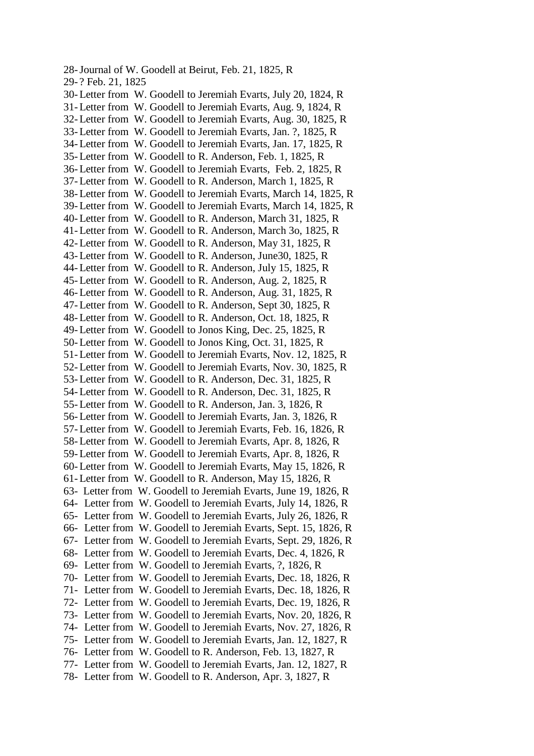28-Journal of W. Goodell at Beirut, Feb. 21, 1825, R 29- ? Feb. 21, 1825 30- Letter from W. Goodell to Jeremiah Evarts, July 20, 1824, R 31- Letter from W. Goodell to Jeremiah Evarts, Aug. 9, 1824, R 32- Letter from W. Goodell to Jeremiah Evarts, Aug. 30, 1825, R 33- Letter from W. Goodell to Jeremiah Evarts, Jan. ?, 1825, R 34- Letter from W. Goodell to Jeremiah Evarts, Jan. 17, 1825, R 35- Letter from W. Goodell to R. Anderson, Feb. 1, 1825, R 36- Letter from W. Goodell to Jeremiah Evarts, Feb. 2, 1825, R 37- Letter from W. Goodell to R. Anderson, March 1, 1825, R 38- Letter from W. Goodell to Jeremiah Evarts, March 14, 1825, R 39- Letter from W. Goodell to Jeremiah Evarts, March 14, 1825, R 40- Letter from W. Goodell to R. Anderson, March 31, 1825, R 41- Letter from W. Goodell to R. Anderson, March 3o, 1825, R 42- Letter from W. Goodell to R. Anderson, May 31, 1825, R 43- Letter from W. Goodell to R. Anderson, June30, 1825, R 44- Letter from W. Goodell to R. Anderson, July 15, 1825, R 45- Letter from W. Goodell to R. Anderson, Aug. 2, 1825, R 46- Letter from W. Goodell to R. Anderson, Aug. 31, 1825, R 47- Letter from W. Goodell to R. Anderson, Sept 30, 1825, R 48- Letter from W. Goodell to R. Anderson, Oct. 18, 1825, R 49- Letter from W. Goodell to Jonos King, Dec. 25, 1825, R 50- Letter from W. Goodell to Jonos King, Oct. 31, 1825, R 51- Letter from W. Goodell to Jeremiah Evarts, Nov. 12, 1825, R 52- Letter from W. Goodell to Jeremiah Evarts, Nov. 30, 1825, R 53- Letter from W. Goodell to R. Anderson, Dec. 31, 1825, R 54- Letter from W. Goodell to R. Anderson, Dec. 31, 1825, R 55- Letter from W. Goodell to R. Anderson, Jan. 3, 1826, R 56- Letter from W. Goodell to Jeremiah Evarts, Jan. 3, 1826, R 57- Letter from W. Goodell to Jeremiah Evarts, Feb. 16, 1826, R 58- Letter from W. Goodell to Jeremiah Evarts, Apr. 8, 1826, R 59- Letter from W. Goodell to Jeremiah Evarts, Apr. 8, 1826, R 60- Letter from W. Goodell to Jeremiah Evarts, May 15, 1826, R 61- Letter from W. Goodell to R. Anderson, May 15, 1826, R 63- Letter from W. Goodell to Jeremiah Evarts, June 19, 1826, R 64- Letter from W. Goodell to Jeremiah Evarts, July 14, 1826, R 65- Letter from W. Goodell to Jeremiah Evarts, July 26, 1826, R 66- Letter from W. Goodell to Jeremiah Evarts, Sept. 15, 1826, R 67- Letter from W. Goodell to Jeremiah Evarts, Sept. 29, 1826, R 68- Letter from W. Goodell to Jeremiah Evarts, Dec. 4, 1826, R 69- Letter from W. Goodell to Jeremiah Evarts, ?, 1826, R 70- Letter from W. Goodell to Jeremiah Evarts, Dec. 18, 1826, R 71- Letter from W. Goodell to Jeremiah Evarts, Dec. 18, 1826, R 72- Letter from W. Goodell to Jeremiah Evarts, Dec. 19, 1826, R 73- Letter from W. Goodell to Jeremiah Evarts, Nov. 20, 1826, R 74- Letter from W. Goodell to Jeremiah Evarts, Nov. 27, 1826, R 75- Letter from W. Goodell to Jeremiah Evarts, Jan. 12, 1827, R 76- Letter from W. Goodell to R. Anderson, Feb. 13, 1827, R 77- Letter from W. Goodell to Jeremiah Evarts, Jan. 12, 1827, R 78- Letter from W. Goodell to R. Anderson, Apr. 3, 1827, R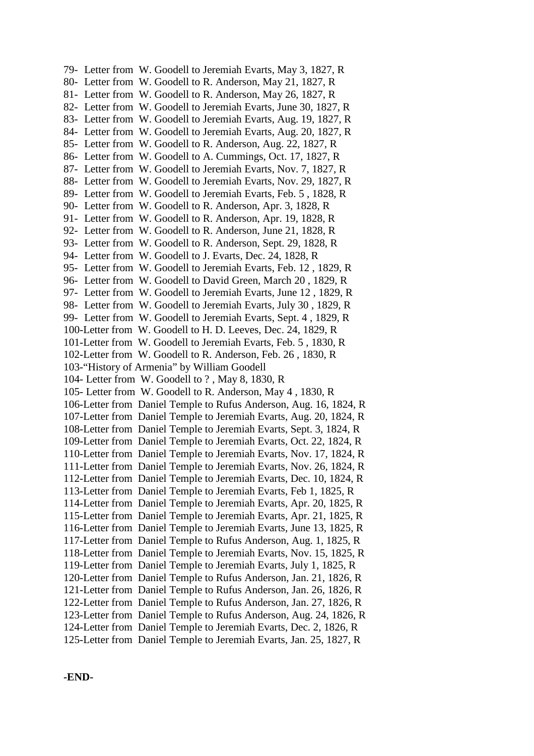79- Letter from W. Goodell to Jeremiah Evarts, May 3, 1827, R 80- Letter from W. Goodell to R. Anderson, May 21, 1827, R 81- Letter from W. Goodell to R. Anderson, May 26, 1827, R 82- Letter from W. Goodell to Jeremiah Evarts, June 30, 1827, R 83- Letter from W. Goodell to Jeremiah Evarts, Aug. 19, 1827, R 84- Letter from W. Goodell to Jeremiah Evarts, Aug. 20, 1827, R 85- Letter from W. Goodell to R. Anderson, Aug. 22, 1827, R 86- Letter from W. Goodell to A. Cummings, Oct. 17, 1827, R 87- Letter from W. Goodell to Jeremiah Evarts, Nov. 7, 1827, R 88- Letter from W. Goodell to Jeremiah Evarts, Nov. 29, 1827, R 89- Letter from W. Goodell to Jeremiah Evarts, Feb. 5 , 1828, R 90- Letter from W. Goodell to R. Anderson, Apr. 3, 1828, R 91- Letter from W. Goodell to R. Anderson, Apr. 19, 1828, R 92- Letter from W. Goodell to R. Anderson, June 21, 1828, R 93- Letter from W. Goodell to R. Anderson, Sept. 29, 1828, R 94- Letter from W. Goodell to J. Evarts, Dec. 24, 1828, R 95- Letter from W. Goodell to Jeremiah Evarts, Feb. 12 , 1829, R 96- Letter from W. Goodell to David Green, March 20 , 1829, R 97- Letter from W. Goodell to Jeremiah Evarts, June 12 , 1829, R 98- Letter from W. Goodell to Jeremiah Evarts, July 30 , 1829, R 99- Letter from W. Goodell to Jeremiah Evarts, Sept. 4 , 1829, R 100-Letter from W. Goodell to H. D. Leeves, Dec. 24, 1829, R 101-Letter from W. Goodell to Jeremiah Evarts, Feb. 5 , 1830, R 102-Letter from W. Goodell to R. Anderson, Feb. 26 , 1830, R 103-"History of Armenia" by William Goodell 104- Letter from W. Goodell to ? , May 8, 1830, R 105- Letter from W. Goodell to R. Anderson, May 4 , 1830, R 106-Letter from Daniel Temple to Rufus Anderson, Aug. 16, 1824, R 107-Letter from Daniel Temple to Jeremiah Evarts, Aug. 20, 1824, R 108-Letter from Daniel Temple to Jeremiah Evarts, Sept. 3, 1824, R 109-Letter from Daniel Temple to Jeremiah Evarts, Oct. 22, 1824, R 110-Letter from Daniel Temple to Jeremiah Evarts, Nov. 17, 1824, R 111-Letter from Daniel Temple to Jeremiah Evarts, Nov. 26, 1824, R 112-Letter from Daniel Temple to Jeremiah Evarts, Dec. 10, 1824, R 113-Letter from Daniel Temple to Jeremiah Evarts, Feb 1, 1825, R 114-Letter from Daniel Temple to Jeremiah Evarts, Apr. 20, 1825, R 115-Letter from Daniel Temple to Jeremiah Evarts, Apr. 21, 1825, R 116-Letter from Daniel Temple to Jeremiah Evarts, June 13, 1825, R 117-Letter from Daniel Temple to Rufus Anderson, Aug. 1, 1825, R 118-Letter from Daniel Temple to Jeremiah Evarts, Nov. 15, 1825, R 119-Letter from Daniel Temple to Jeremiah Evarts, July 1, 1825, R 120-Letter from Daniel Temple to Rufus Anderson, Jan. 21, 1826, R 121-Letter from Daniel Temple to Rufus Anderson, Jan. 26, 1826, R 122-Letter from Daniel Temple to Rufus Anderson, Jan. 27, 1826, R 123-Letter from Daniel Temple to Rufus Anderson, Aug. 24, 1826, R 124-Letter from Daniel Temple to Jeremiah Evarts, Dec. 2, 1826, R 125-Letter from Daniel Temple to Jeremiah Evarts, Jan. 25, 1827, R

**-END-**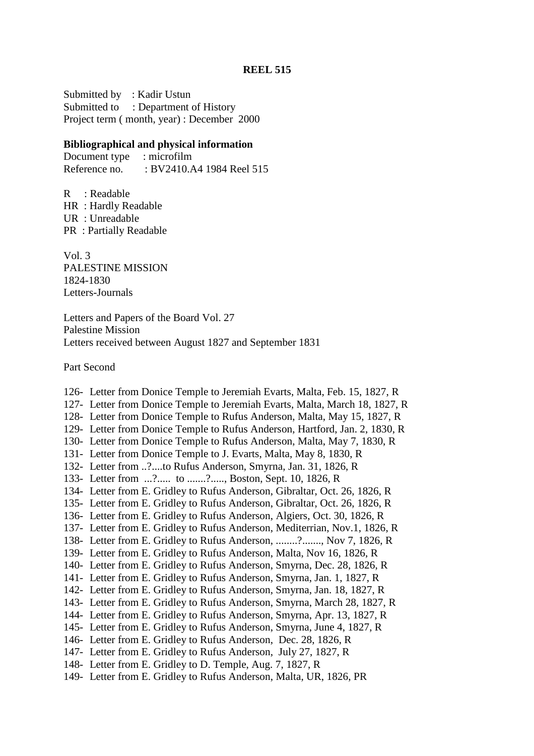Submitted by : Kadir Ustun Submitted to : Department of History Project term ( month, year) : December 2000

### **Bibliographical and physical information**

Document type : microfilm Reference no. : BV2410.A4 1984 Reel 515

R : Readable HR : Hardly Readable UR : Unreadable PR : Partially Readable

Vol. 3 PALESTINE MISSION 1824-1830 Letters-Journals

Letters and Papers of the Board Vol. 27 Palestine Mission Letters received between August 1827 and September 1831

Part Second

126- Letter from Donice Temple to Jeremiah Evarts, Malta, Feb. 15, 1827, R 127- Letter from Donice Temple to Jeremiah Evarts, Malta, March 18, 1827, R 128- Letter from Donice Temple to Rufus Anderson, Malta, May 15, 1827, R 129- Letter from Donice Temple to Rufus Anderson, Hartford, Jan. 2, 1830, R 130- Letter from Donice Temple to Rufus Anderson, Malta, May 7, 1830, R 131- Letter from Donice Temple to J. Evarts, Malta, May 8, 1830, R 132- Letter from ..?....to Rufus Anderson, Smyrna, Jan. 31, 1826, R 133- Letter from ...?...... to .......?......, Boston, Sept. 10, 1826, R 134- Letter from E. Gridley to Rufus Anderson, Gibraltar, Oct. 26, 1826, R 135- Letter from E. Gridley to Rufus Anderson, Gibraltar, Oct. 26, 1826, R 136- Letter from E. Gridley to Rufus Anderson, Algiers, Oct. 30, 1826, R 137- Letter from E. Gridley to Rufus Anderson, Mediterrian, Nov.1, 1826, R 138- Letter from E. Gridley to Rufus Anderson, ........?......., Nov 7, 1826, R 139- Letter from E. Gridley to Rufus Anderson, Malta, Nov 16, 1826, R 140- Letter from E. Gridley to Rufus Anderson, Smyrna, Dec. 28, 1826, R 141- Letter from E. Gridley to Rufus Anderson, Smyrna, Jan. 1, 1827, R 142- Letter from E. Gridley to Rufus Anderson, Smyrna, Jan. 18, 1827, R 143- Letter from E. Gridley to Rufus Anderson, Smyrna, March 28, 1827, R 144- Letter from E. Gridley to Rufus Anderson, Smyrna, Apr. 13, 1827, R 145- Letter from E. Gridley to Rufus Anderson, Smyrna, June 4, 1827, R 146- Letter from E. Gridley to Rufus Anderson, Dec. 28, 1826, R 147- Letter from E. Gridley to Rufus Anderson, July 27, 1827, R 148- Letter from E. Gridley to D. Temple, Aug. 7, 1827, R 149- Letter from E. Gridley to Rufus Anderson, Malta, UR, 1826, PR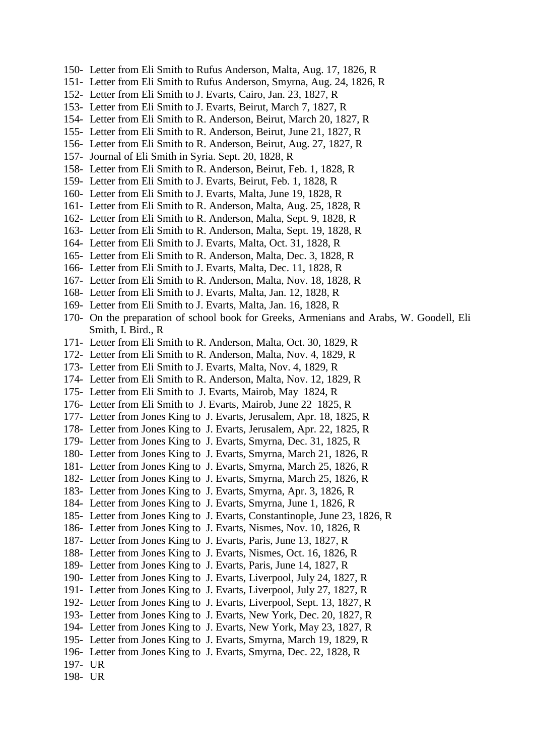- 150- Letter from Eli Smith to Rufus Anderson, Malta, Aug. 17, 1826, R
- 151- Letter from Eli Smith to Rufus Anderson, Smyrna, Aug. 24, 1826, R
- 152- Letter from Eli Smith to J. Evarts, Cairo, Jan. 23, 1827, R
- 153- Letter from Eli Smith to J. Evarts, Beirut, March 7, 1827, R
- 154- Letter from Eli Smith to R. Anderson, Beirut, March 20, 1827, R
- 155- Letter from Eli Smith to R. Anderson, Beirut, June 21, 1827, R
- 156- Letter from Eli Smith to R. Anderson, Beirut, Aug. 27, 1827, R
- 157- Journal of Eli Smith in Syria. Sept. 20, 1828, R
- 158- Letter from Eli Smith to R. Anderson, Beirut, Feb. 1, 1828, R
- 159- Letter from Eli Smith to J. Evarts, Beirut, Feb. 1, 1828, R
- 160- Letter from Eli Smith to J. Evarts, Malta, June 19, 1828, R
- 161- Letter from Eli Smith to R. Anderson, Malta, Aug. 25, 1828, R
- 162- Letter from Eli Smith to R. Anderson, Malta, Sept. 9, 1828, R
- 163- Letter from Eli Smith to R. Anderson, Malta, Sept. 19, 1828, R
- 164- Letter from Eli Smith to J. Evarts, Malta, Oct. 31, 1828, R
- 165- Letter from Eli Smith to R. Anderson, Malta, Dec. 3, 1828, R
- 166- Letter from Eli Smith to J. Evarts, Malta, Dec. 11, 1828, R
- 167- Letter from Eli Smith to R. Anderson, Malta, Nov. 18, 1828, R
- 168- Letter from Eli Smith to J. Evarts, Malta, Jan. 12, 1828, R
- 169- Letter from Eli Smith to J. Evarts, Malta, Jan. 16, 1828, R
- 170- On the preparation of school book for Greeks, Armenians and Arabs, W. Goodell, Eli Smith, I. Bird., R
- 171- Letter from Eli Smith to R. Anderson, Malta, Oct. 30, 1829, R
- 172- Letter from Eli Smith to R. Anderson, Malta, Nov. 4, 1829, R
- 173- Letter from Eli Smith to J. Evarts, Malta, Nov. 4, 1829, R
- 174- Letter from Eli Smith to R. Anderson, Malta, Nov. 12, 1829, R
- 175- Letter from Eli Smith to J. Evarts, Mairob, May 1824, R
- 176- Letter from Eli Smith to J. Evarts, Mairob, June 22 1825, R
- 177- Letter from Jones King to J. Evarts, Jerusalem, Apr. 18, 1825, R
- 178- Letter from Jones King to J. Evarts, Jerusalem, Apr. 22, 1825, R
- 179- Letter from Jones King to J. Evarts, Smyrna, Dec. 31, 1825, R
- 180- Letter from Jones King to J. Evarts, Smyrna, March 21, 1826, R
- 181- Letter from Jones King to J. Evarts, Smyrna, March 25, 1826, R
- 182- Letter from Jones King to J. Evarts, Smyrna, March 25, 1826, R
- 183- Letter from Jones King to J. Evarts, Smyrna, Apr. 3, 1826, R
- 184- Letter from Jones King to J. Evarts, Smyrna, June 1, 1826, R
- 185- Letter from Jones King to J. Evarts, Constantinople, June 23, 1826, R
- 186- Letter from Jones King to J. Evarts, Nismes, Nov. 10, 1826, R
- 187- Letter from Jones King to J. Evarts, Paris, June 13, 1827, R
- 188- Letter from Jones King to J. Evarts, Nismes, Oct. 16, 1826, R
- 189- Letter from Jones King to J. Evarts, Paris, June 14, 1827, R
- 190- Letter from Jones King to J. Evarts, Liverpool, July 24, 1827, R
- 191- Letter from Jones King to J. Evarts, Liverpool, July 27, 1827, R
- 192- Letter from Jones King to J. Evarts, Liverpool, Sept. 13, 1827, R
- 193- Letter from Jones King to J. Evarts, New York, Dec. 20, 1827, R
- 194- Letter from Jones King to J. Evarts, New York, May 23, 1827, R
- 195- Letter from Jones King to J. Evarts, Smyrna, March 19, 1829, R
- 196- Letter from Jones King to J. Evarts, Smyrna, Dec. 22, 1828, R
- 197- UR
- 198- UR